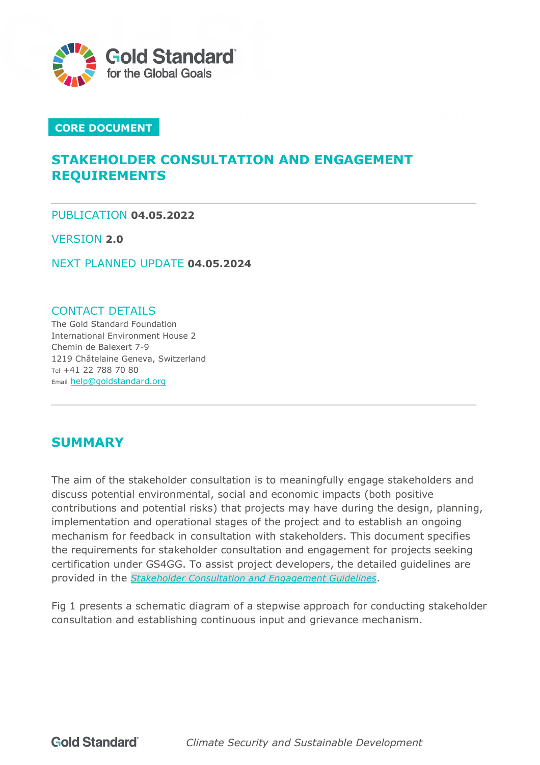

### **CORE DOCUMENT**

# **STAKEHOLDER CONSULTATION AND ENGAGEMENT REQUIREMENTS**

PUBLICATION **04.05.2022**

VERSION **2.0**

NEXT PLANNED UPDATE **04.05.2024**

#### CONTACT DETAILS

The Gold Standard Foundation International Environment House 2 Chemin de Balexert 7-9 1219 Châtelaine Geneva, Switzerland Tel +41 22 788 70 80 Email [help@goldstandard.org](mailto:help@goldstandard.org)

# <span id="page-0-0"></span>**SUMMARY**

The aim of the stakeholder consultation is to meaningfully engage stakeholders and discuss potential environmental, social and economic impacts (both positive contributions and potential risks) that projects may have during the design, planning, implementation and operational stages of the project and to establish an ongoing mechanism for feedback in consultation with stakeholders. This document specifies the requirements for stakeholder consultation and engagement for projects seeking certification under GS4GG. To assist project developers, the detailed guidelines are provided in the *[Stakeholder Consultation and Engagement Guidelines](https://globalgoals.goldstandard.org/102g-par-stakeholder-consultation-requirements/)*.

Fig 1 presents a schematic diagram of a stepwise approach for conducting stakeholder consultation and establishing continuous input and grievance mechanism.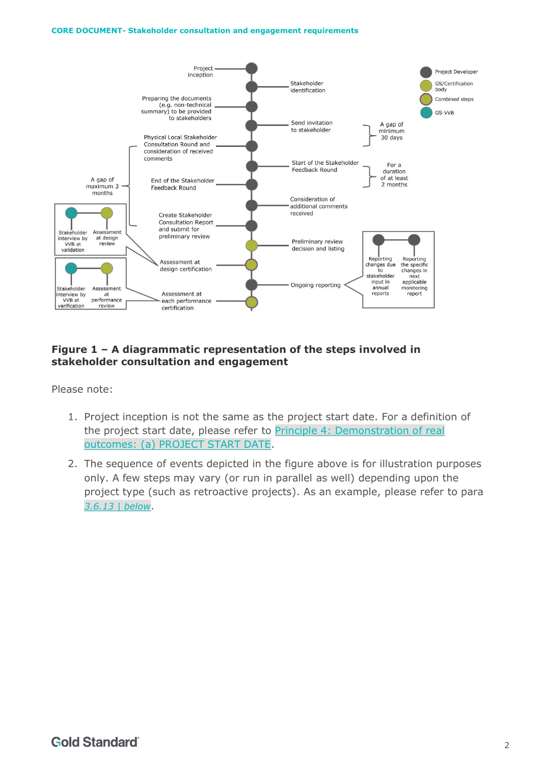#### **CORE DOCUMENT- Stakeholder consultation and engagement requirements**



#### **Figure 1 – A diagrammatic representation of the steps involved in stakeholder consultation and engagement**

Please note:

- 1. Project inception is not the same as the project start date. For a definition of the project start date, please refer to [Principle 4: Demonstration of real](https://globalgoals.goldstandard.org/101-par-principles-requirements/)  [outcomes: \(a\) PROJECT START DATE.](https://globalgoals.goldstandard.org/101-par-principles-requirements/)
- 2. The sequence of events depicted in the figure above is for illustration purposes only. A few steps may vary (or run in parallel as well) depending upon the project type (such as retroactive projects). As an example, please refer to para *[3.6.13 | below](#page-9-0)*.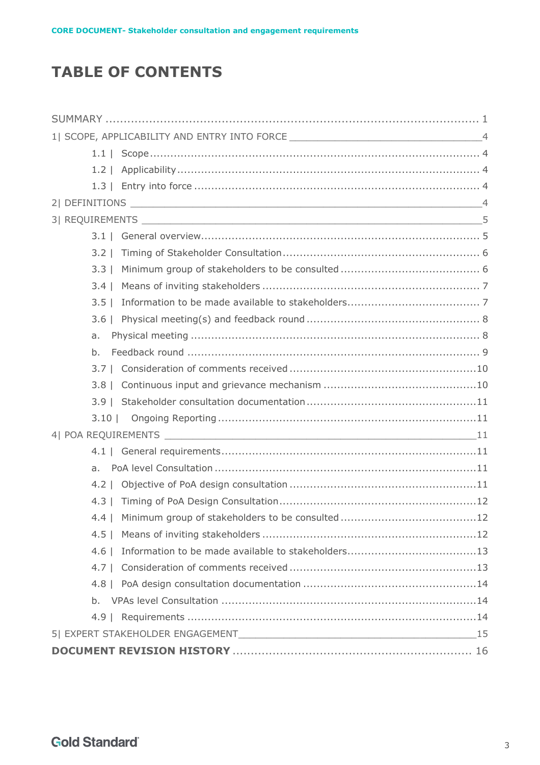# **TABLE OF CONTENTS**

|                | 1  SCOPE, APPLICABILITY AND ENTRY INTO FORCE ___________________________________4 |  |  |
|----------------|-----------------------------------------------------------------------------------|--|--|
|                |                                                                                   |  |  |
| $1.2 \mid$     |                                                                                   |  |  |
|                |                                                                                   |  |  |
|                |                                                                                   |  |  |
|                |                                                                                   |  |  |
|                |                                                                                   |  |  |
| $3.2$          |                                                                                   |  |  |
| $3.3$          |                                                                                   |  |  |
| $3.4 \mid$     |                                                                                   |  |  |
| $3.5$          |                                                                                   |  |  |
|                |                                                                                   |  |  |
| a.             |                                                                                   |  |  |
| b.             |                                                                                   |  |  |
|                |                                                                                   |  |  |
| $3.8 \perp$    |                                                                                   |  |  |
|                |                                                                                   |  |  |
| $3.10$         |                                                                                   |  |  |
|                |                                                                                   |  |  |
|                |                                                                                   |  |  |
| a <sub>z</sub> |                                                                                   |  |  |
|                |                                                                                   |  |  |
| $4.3 \perp$    |                                                                                   |  |  |
|                |                                                                                   |  |  |
| $4.5 \perp$    |                                                                                   |  |  |
| $4.6 \mid$     |                                                                                   |  |  |
| $4.7 \perp$    |                                                                                   |  |  |
|                |                                                                                   |  |  |
|                |                                                                                   |  |  |
|                |                                                                                   |  |  |
|                |                                                                                   |  |  |
|                |                                                                                   |  |  |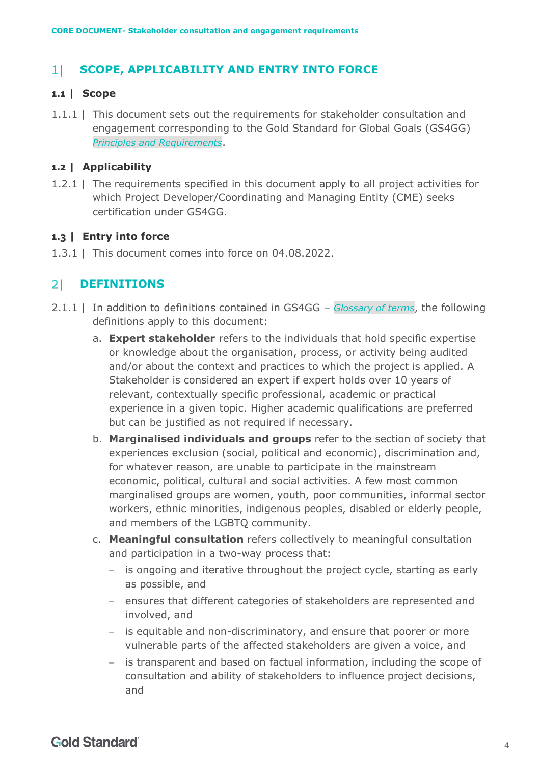#### <span id="page-3-0"></span>**SCOPE, APPLICABILITY AND ENTRY INTO FORCE**  $1<sup>1</sup>$

#### <span id="page-3-1"></span>**1.1 | Scope**

1.1.1 | This document sets out the requirements for stakeholder consultation and engagement corresponding to the Gold Standard for Global Goals (GS4GG) *[Principles and Requirements](https://globalgoals.goldstandard.org/standards/101_V1.2_PAR_Principles-Requirements.pdf)*.

#### <span id="page-3-2"></span>**1.2 | Applicability**

1.2.1 | The requirements specified in this document apply to all project activities for which Project Developer/Coordinating and Managing Entity (CME) seeks certification under GS4GG.

#### <span id="page-3-3"></span>**1.3 | Entry into force**

1.3.1 | This document comes into force on 04.08.2022.

#### <span id="page-3-4"></span> $2<sup>1</sup>$ **DEFINITIONS**

- 2.1.1 | In addition to definitions contained in GS4GG *[Glossary of terms](https://www.goldstandard.org/project-developers/standard-documents)*, the following definitions apply to this document:
	- a. **Expert stakeholder** refers to the individuals that hold specific expertise or knowledge about the organisation, process, or activity being audited and/or about the context and practices to which the project is applied. A Stakeholder is considered an expert if expert holds over 10 years of relevant, contextually specific professional, academic or practical experience in a given topic. Higher academic qualifications are preferred but can be justified as not required if necessary.
	- b. **Marginalised individuals and groups** refer to the section of society that experiences exclusion (social, political and economic), discrimination and, for whatever reason, are unable to participate in the mainstream economic, political, cultural and social activities. A few most common marginalised groups are women, youth, poor communities, informal sector workers, ethnic minorities, indigenous peoples, disabled or elderly people, and members of the LGBTQ community.
	- c. **Meaningful consultation** refers collectively to meaningful consultation and participation in a two-way process that:
		- − is ongoing and iterative throughout the project cycle, starting as early as possible, and
		- − ensures that different categories of stakeholders are represented and involved, and
		- − is equitable and non-discriminatory, and ensure that poorer or more vulnerable parts of the affected stakeholders are given a voice, and
		- − is transparent and based on factual information, including the scope of consultation and ability of stakeholders to influence project decisions, and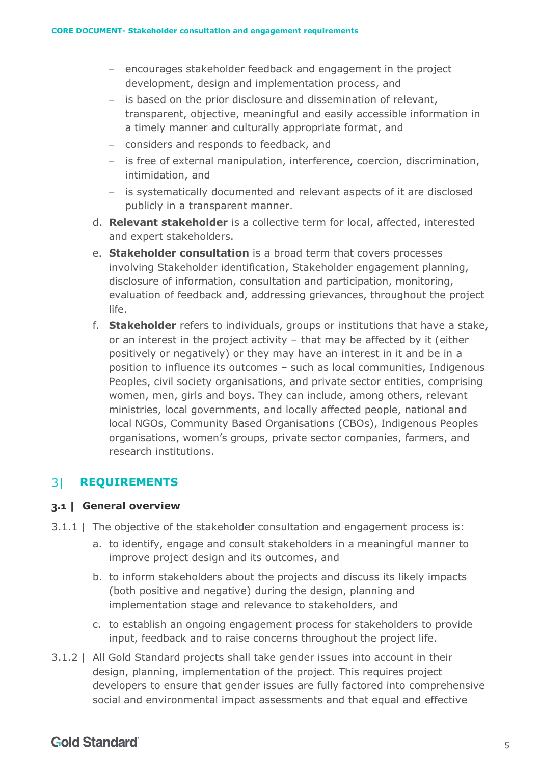- − encourages stakeholder feedback and engagement in the project development, design and implementation process, and
- − is based on the prior disclosure and dissemination of relevant, transparent, objective, meaningful and easily accessible information in a timely manner and culturally appropriate format, and
- − considers and responds to feedback, and
- − is free of external manipulation, interference, coercion, discrimination, intimidation, and
- − is systematically documented and relevant aspects of it are disclosed publicly in a transparent manner.
- d. **Relevant stakeholder** is a collective term for local, affected, interested and expert stakeholders.
- e. **Stakeholder consultation** is a broad term that covers processes involving Stakeholder identification, Stakeholder engagement planning, disclosure of information, consultation and participation, monitoring, evaluation of feedback and, addressing grievances, throughout the project life.
- f. **Stakeholder** refers to individuals, groups or institutions that have a stake, or an interest in the project activity – that may be affected by it (either positively or negatively) or they may have an interest in it and be in a position to influence its outcomes – such as local communities, Indigenous Peoples, civil society organisations, and private sector entities, comprising women, men, girls and boys. They can include, among others, relevant ministries, local governments, and locally affected people, national and local NGOs, Community Based Organisations (CBOs), Indigenous Peoples organisations, women's groups, private sector companies, farmers, and research institutions.

#### <span id="page-4-0"></span> $3<sup>1</sup>$ **REQUIREMENTS**

#### <span id="page-4-1"></span>**3.1 | General overview**

- 3.1.1 | The objective of the stakeholder consultation and engagement process is:
	- a. to identify, engage and consult stakeholders in a meaningful manner to improve project design and its outcomes, and
	- b. to inform stakeholders about the projects and discuss its likely impacts (both positive and negative) during the design, planning and implementation stage and relevance to stakeholders, and
	- c. to establish an ongoing engagement process for stakeholders to provide input, feedback and to raise concerns throughout the project life.
- 3.1.2 | All Gold Standard projects shall take gender issues into account in their design, planning, implementation of the project. This requires project developers to ensure that gender issues are fully factored into comprehensive social and environmental impact assessments and that equal and effective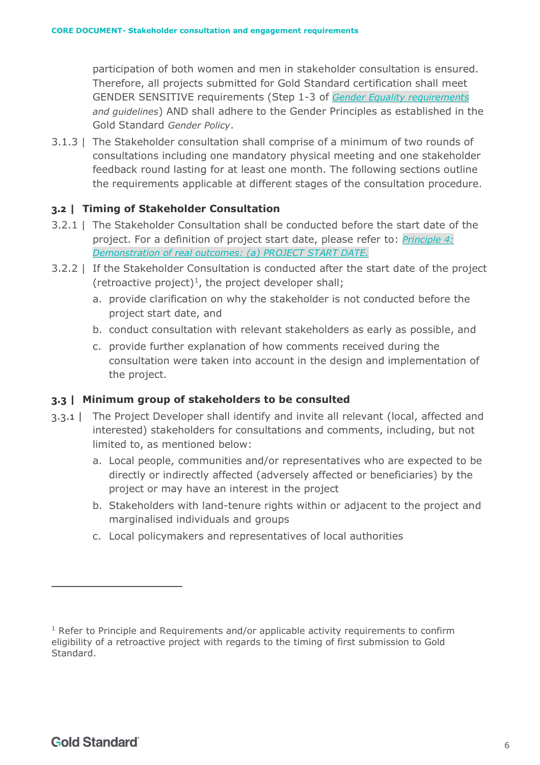participation of both women and men in stakeholder consultation is ensured. Therefore, all projects submitted for Gold Standard certification shall meet GENDER SENSITIVE requirements (Step 1-3 of *[Gender Equality requirements](https://globalgoals.goldstandard.org/standards/104_V1.1_PAR_Gender-Equality-Requirements-Guidelines.pdf)  [and guidelines](https://globalgoals.goldstandard.org/standards/104_V1.1_PAR_Gender-Equality-Requirements-Guidelines.pdf)*) AND shall adhere to the Gender Principles as established in the Gold Standard *[Gender Policy](https://globalgoals.goldstandard.org/000-6-gov-gender-policy/)*.

3.1.3 | The Stakeholder consultation shall comprise of a minimum of two rounds of consultations including one mandatory physical meeting and one stakeholder feedback round lasting for at least one month. The following sections outline the requirements applicable at different stages of the consultation procedure.

#### <span id="page-5-0"></span>**3.2 | Timing of Stakeholder Consultation**

- 3.2.1 | The Stakeholder Consultation shall be conducted before the start date of the project. For a definition of project start date, please refer to: *[Principle 4:](https://globalgoals.goldstandard.org/101-par-principles-requirements/)  [Demonstration of real outcomes: \(a\) PROJECT START DATE.](https://globalgoals.goldstandard.org/101-par-principles-requirements/)*
- 3.2.2 | If the Stakeholder Consultation is conducted after the start date of the project (retroactive project)<sup>1</sup>, the project developer shall;
	- a. provide clarification on why the stakeholder is not conducted before the project start date, and
	- b. conduct consultation with relevant stakeholders as early as possible, and
	- c. provide further explanation of how comments received during the consultation were taken into account in the design and implementation of the project.

#### <span id="page-5-1"></span>**3.3 | Minimum group of stakeholders to be consulted**

- <span id="page-5-2"></span>3.3.1 | The Project Developer shall identify and invite all relevant (local, affected and interested) stakeholders for consultations and comments, including, but not limited to, as mentioned below:
	- a. Local people, communities and/or representatives who are expected to be directly or indirectly affected (adversely affected or beneficiaries) by the project or may have an interest in the project
	- b. Stakeholders with land-tenure rights within or adjacent to the project and marginalised individuals and groups
	- c. Local policymakers and representatives of local authorities

 $1$  Refer to Principle and Requirements and/or applicable activity requirements to confirm eligibility of a retroactive project with regards to the timing of first submission to Gold Standard.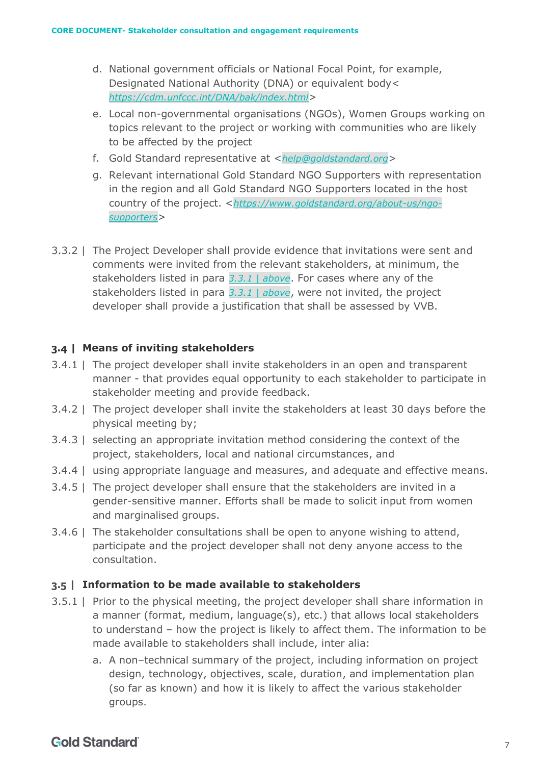- d. National government officials or National Focal Point, for example, Designated National Authority (DNA) or equivalent body< *<https://cdm.unfccc.int/DNA/bak/index.html>*>
- e. Local non-governmental organisations (NGOs), Women Groups working on topics relevant to the project or working with communities who are likely to be affected by the project
- f. Gold Standard representative at <*[help@goldstandard.org](mailto:help@goldstandard.org)*>
- g. Relevant international Gold Standard NGO Supporters with representation in the region and all Gold Standard NGO Supporters located in the host country of the project. <*[https://www.goldstandard.org/about-us/ngo](https://www.goldstandard.org/about-us/ngo-supporters)[supporters](https://www.goldstandard.org/about-us/ngo-supporters)*>
- 3.3.2 | The Project Developer shall provide evidence that invitations were sent and comments were invited from the relevant stakeholders, at minimum, the stakeholders listed in para *3.3.1 | above*. For cases where any of the stakeholders listed in para *3.3.1 | above*, were not invited, the project developer shall provide a justification that shall be assessed by VVB.

#### <span id="page-6-0"></span>**3.4 | Means of inviting stakeholders**

- 3.4.1 | The project developer shall invite stakeholders in an open and transparent manner - that provides equal opportunity to each stakeholder to participate in stakeholder meeting and provide feedback.
- 3.4.2 | The project developer shall invite the stakeholders at least 30 days before the physical meeting by;
- 3.4.3 | selecting an appropriate invitation method considering the context of the project, stakeholders, local and national circumstances, and
- 3.4.4 | using appropriate language and measures, and adequate and effective means.
- 3.4.5 | The project developer shall ensure that the stakeholders are invited in a gender-sensitive manner. Efforts shall be made to solicit input from women and marginalised groups.
- 3.4.6 | The stakeholder consultations shall be open to anyone wishing to attend, participate and the project developer shall not deny anyone access to the consultation.

### <span id="page-6-1"></span>**3.5 | Information to be made available to stakeholders**

- <span id="page-6-2"></span>3.5.1 | Prior to the physical meeting, the project developer shall share information in a manner (format, medium, language(s), etc.) that allows local stakeholders to understand – how the project is likely to affect them. The information to be made available to stakeholders shall include, inter alia:
	- a. A non–technical summary of the project, including information on project design, technology, objectives, scale, duration, and implementation plan (so far as known) and how it is likely to affect the various stakeholder groups.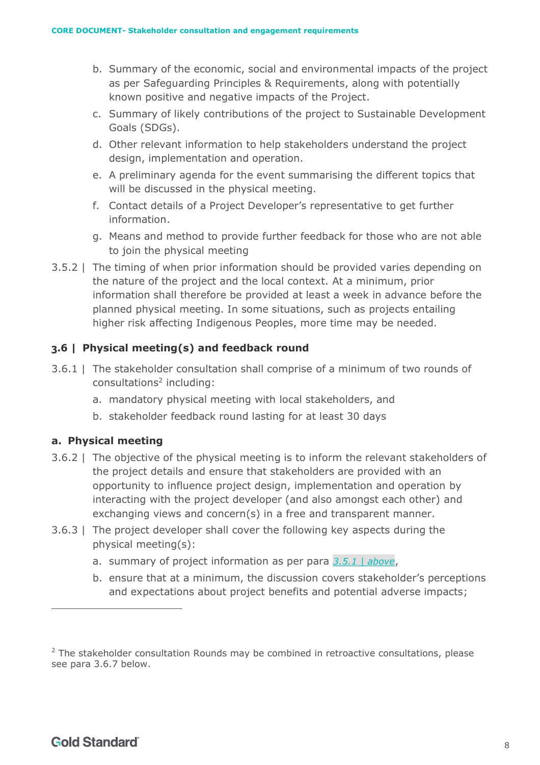- b. Summary of the economic, social and environmental impacts of the project as per [Safeguarding Principles & Requirements,](https://globalgoals.goldstandard.org/103-par-safeguarding-principles-requirements/) along with potentially known positive and negative impacts of the Project.
- c. Summary of likely contributions of the project to Sustainable Development Goals (SDGs).
- d. Other relevant information to help stakeholders understand the project design, implementation and operation.
- e. A preliminary agenda for the event summarising the different topics that will be discussed in the physical meeting.
- f. Contact details of a Project Developer's representative to get further information.
- g. Means and method to provide further feedback for those who are not able to join the physical meeting
- 3.5.2 | The timing of when prior information should be provided varies depending on the nature of the project and the local context. At a minimum, prior information shall therefore be provided at least a week in advance before the planned physical meeting. In some situations, such as projects entailing higher risk affecting Indigenous Peoples, more time may be needed.

### <span id="page-7-0"></span>**3.6 | Physical meeting(s) and feedback round**

- 3.6.1 | The stakeholder consultation shall comprise of a minimum of two rounds of consultations<sup>2</sup> including:
	- a. mandatory physical meeting with local stakeholders, and
	- b. stakeholder feedback round lasting for at least 30 days

### <span id="page-7-1"></span>**a. Physical meeting**

- 3.6.2 | The objective of the physical meeting is to inform the relevant stakeholders of the project details and ensure that stakeholders are provided with an opportunity to influence project design, implementation and operation by interacting with the project developer (and also amongst each other) and exchanging views and concern(s) in a free and transparent manner.
- 3.6.3 | The project developer shall cover the following key aspects during the physical meeting(s):
	- a. summary of project information as per para *[3.5.1 | above](#page-6-2)*,
	- b. ensure that at a minimum, the discussion covers stakeholder's perceptions and expectations about project benefits and potential adverse impacts;

 $2$  The stakeholder consultation Rounds may be combined in retroactive consultations, please see para 3.6.7 below.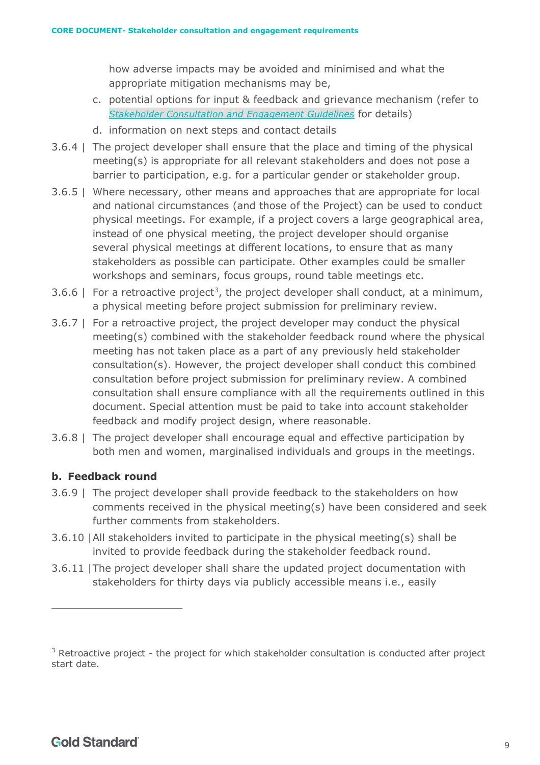how adverse impacts may be avoided and minimised and what the appropriate mitigation mechanisms may be,

- c. potential options for input & feedback and grievance mechanism (refer to *[Stakeholder Consultation and Engagement Guidelines](https://globalgoals.goldstandard.org/102g-par-stakeholder-consultation-requirements/)* for details)
- d. information on next steps and contact details
- 3.6.4 | The project developer shall ensure that the place and timing of the physical meeting(s) is appropriate for all relevant stakeholders and does not pose a barrier to participation, e.g. for a particular gender or stakeholder group.
- 3.6.5 | Where necessary, other means and approaches that are appropriate for local and national circumstances (and those of the Project) can be used to conduct physical meetings. For example, if a project covers a large geographical area, instead of one physical meeting, the project developer should organise several physical meetings at different locations, to ensure that as many stakeholders as possible can participate. Other examples could be smaller workshops and seminars, focus groups, round table meetings etc.
- 3.6.6 | For a retroactive project<sup>3</sup>, the project developer shall conduct, at a minimum, a physical meeting before project submission for preliminary review.
- 3.6.7 | For a retroactive project, the project developer may conduct the physical meeting(s) combined with the stakeholder feedback round where the physical meeting has not taken place as a part of any previously held stakeholder consultation(s). However, the project developer shall conduct this combined consultation before project submission for preliminary review. A combined consultation shall ensure compliance with all the requirements outlined in this document. Special attention must be paid to take into account stakeholder feedback and modify project design, where reasonable.
- 3.6.8 | The project developer shall encourage equal and effective participation by both men and women, marginalised individuals and groups in the meetings.

#### <span id="page-8-0"></span>**b. Feedback round**

- 3.6.9 | The project developer shall provide feedback to the stakeholders on how comments received in the physical meeting(s) have been considered and seek further comments from stakeholders.
- 3.6.10 |All stakeholders invited to participate in the physical meeting(s) shall be invited to provide feedback during the stakeholder feedback round.
- 3.6.11 |The project developer shall share the updated project documentation with stakeholders for thirty days via publicly accessible means i.e., easily

 $3$  Retroactive project - the project for which stakeholder consultation is conducted after project start date.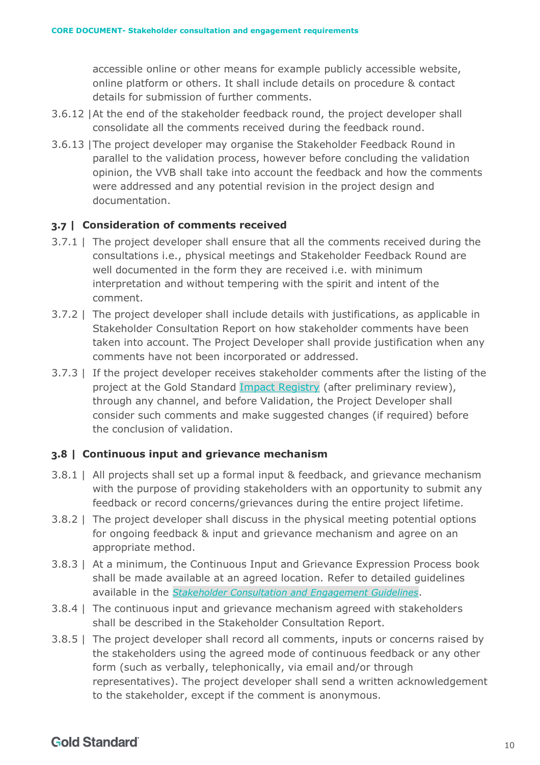accessible online or other means for example publicly accessible website, online platform or others. It shall include details on procedure & contact details for submission of further comments.

- 3.6.12 |At the end of the stakeholder feedback round, the project developer shall consolidate all the comments received during the feedback round.
- <span id="page-9-0"></span>3.6.13 |The project developer may organise the Stakeholder Feedback Round in parallel to the validation process, however before concluding the validation opinion, the VVB shall take into account the feedback and how the comments were addressed and any potential revision in the project design and documentation.

#### <span id="page-9-1"></span>**3.7 | Consideration of comments received**

- 3.7.1 | The project developer shall ensure that all the comments received during the consultations i.e., physical meetings and Stakeholder Feedback Round are well documented in the form they are received i.e. with minimum interpretation and without tempering with the spirit and intent of the comment.
- 3.7.2 | The project developer shall include details with justifications, as applicable in Stakeholder Consultation Report on how stakeholder comments have been taken into account. The Project Developer shall provide justification when any comments have not been incorporated or addressed.
- 3.7.3 | If the project developer receives stakeholder comments after the listing of the project at the Gold Standard [Impact Registry](https://registry.goldstandard.org/projects?q=&page=1) (after preliminary review), through any channel, and before Validation, the Project Developer shall consider such comments and make suggested changes (if required) before the conclusion of validation.

#### <span id="page-9-2"></span>**3.8 | Continuous input and grievance mechanism**

- 3.8.1 | All projects shall set up a formal input & feedback, and grievance mechanism with the purpose of providing stakeholders with an opportunity to submit any feedback or record concerns/grievances during the entire project lifetime.
- 3.8.2 | The project developer shall discuss in the physical meeting potential options for ongoing feedback & input and grievance mechanism and agree on an appropriate method.
- 3.8.3 | At a minimum, the Continuous Input and Grievance Expression Process book shall be made available at an agreed location. Refer to detailed guidelines available in the *[Stakeholder Consultation and Engagement Guidelines](https://globalgoals.goldstandard.org/102g-par-stakeholder-consultation-requirements/)*.
- 3.8.4 | The continuous input and grievance mechanism agreed with stakeholders shall be described in the Stakeholder Consultation Report.
- 3.8.5 | The project developer shall record all comments, inputs or concerns raised by the stakeholders using the agreed mode of continuous feedback or any other form (such as verbally, telephonically, via email and/or through representatives). The project developer shall send a written acknowledgement to the stakeholder, except if the comment is anonymous.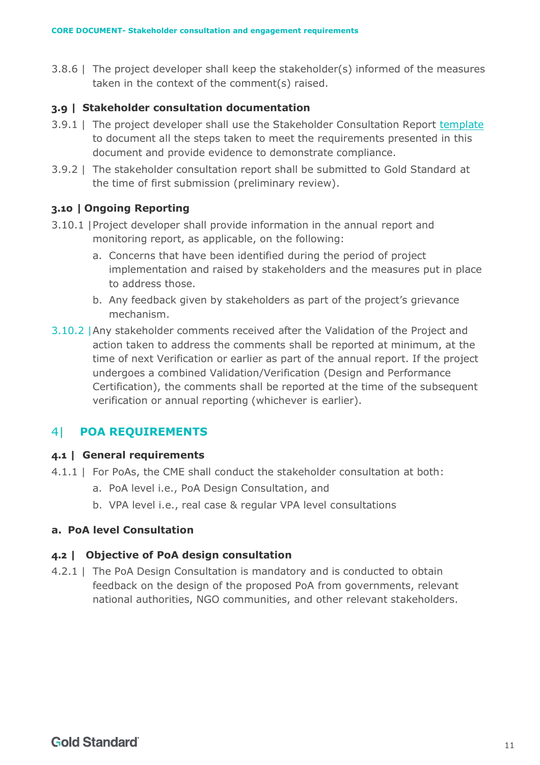3.8.6 | The project developer shall keep the stakeholder(s) informed of the measures taken in the context of the comment(s) raised.

### <span id="page-10-0"></span>**3.9 | Stakeholder consultation documentation**

- 3.9.1 | The project developer shall use the Stakeholder Consultation Report [template](https://globalgoals.goldstandard.org/stakeholder-consultation-report/) to document all the steps taken to meet the requirements presented in this document and provide evidence to demonstrate compliance.
- 3.9.2 | The stakeholder consultation report shall be submitted to Gold Standard at the time of first submission (preliminary review).

### <span id="page-10-1"></span>**3.10 | Ongoing Reporting**

- 3.10.1 |Project developer shall provide information in the annual report and monitoring report, as applicable, on the following:
	- a. Concerns that have been identified during the period of project implementation and raised by stakeholders and the measures put in place to address those.
	- b. Any feedback given by stakeholders as part of the project's grievance mechanism.
- 3.10.2 |Any stakeholder comments received after the Validation of the Project and action taken to address the comments shall be reported at minimum, at the time of next Verification or earlier as part of the annual report. If the project undergoes a combined Validation/Verification (Design and Performance Certification), the comments shall be reported at the time of the subsequent verification or annual reporting (whichever is earlier).

#### <span id="page-10-2"></span>41 **POA REQUIREMENTS**

#### <span id="page-10-3"></span>**4.1 | General requirements**

- 4.1.1 | For PoAs, the CME shall conduct the stakeholder consultation at both:
	- a. PoA level i.e., PoA Design Consultation, and
	- b. VPA level i.e., real case & regular VPA level consultations

#### <span id="page-10-4"></span>**a. PoA level Consultation**

#### <span id="page-10-5"></span>**4.2 | Objective of PoA design consultation**

4.2.1 | The PoA Design Consultation is mandatory and is conducted to obtain feedback on the design of the proposed PoA from governments, relevant national authorities, NGO communities, and other relevant stakeholders.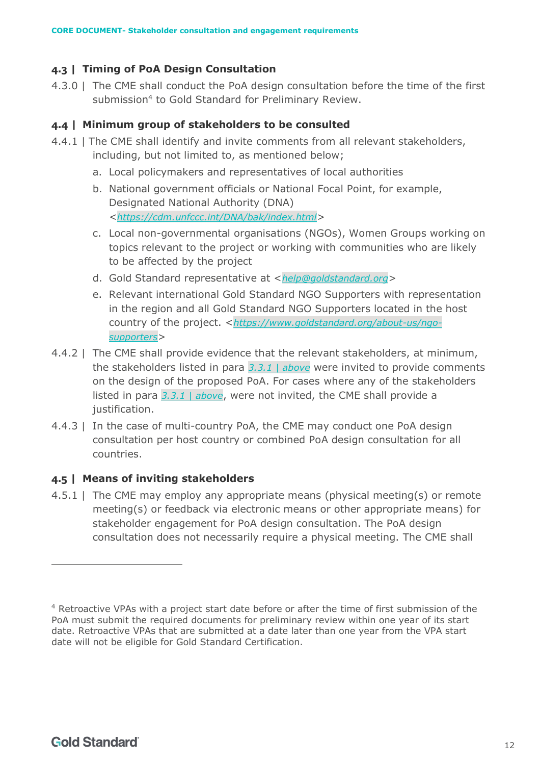### <span id="page-11-0"></span>**4.3 | Timing of PoA Design Consultation**

4.3.0 | The CME shall conduct the PoA design consultation before the time of the first submission<sup>4</sup> to Gold Standard for Preliminary Review.

### <span id="page-11-1"></span>**4.4 | Minimum group of stakeholders to be consulted**

- <span id="page-11-3"></span>4.4.1 | The CME shall identify and invite comments from all relevant stakeholders, including, but not limited to, as mentioned below;
	- a. Local policymakers and representatives of local authorities
	- b. National government officials or National Focal Point, for example, Designated National Authority (DNA) <*<https://cdm.unfccc.int/DNA/bak/index.html>*>
	- c. Local non-governmental organisations (NGOs), Women Groups working on topics relevant to the project or working with communities who are likely to be affected by the project
	- d. Gold Standard representative at <*[help@goldstandard.org](mailto:help@goldstandard.org)*>
	- e. Relevant international Gold Standard NGO Supporters with representation in the region and all Gold Standard NGO Supporters located in the host country of the project. <*[https://www.goldstandard.org/about-us/ngo](https://www.goldstandard.org/about-us/ngo-supporters)[supporters](https://www.goldstandard.org/about-us/ngo-supporters)*>
- 4.4.2 | The CME shall provide evidence that the relevant stakeholders, at minimum, the stakeholders listed in para *[3.3.1 | above](#page-5-2)* were invited to provide comments on the design of the proposed PoA. For cases where any of the stakeholders listed in para *[3.3.1 | above](#page-5-2)*, were not invited, the CME shall provide a justification.
- 4.4.3 | In the case of multi-country PoA, the CME may conduct one PoA design consultation per host country or combined PoA design consultation for all countries.

#### <span id="page-11-2"></span>**4.5 | Means of inviting stakeholders**

4.5.1 | The CME may employ any appropriate means (physical meeting(s) or remote meeting(s) or feedback via electronic means or other appropriate means) for stakeholder engagement for PoA design consultation. The PoA design consultation does not necessarily require a physical meeting. The CME shall

<sup>4</sup> Retroactive VPAs with a project start date before or after the time of first submission of the PoA must submit the required documents for preliminary review within one year of its start date. Retroactive VPAs that are submitted at a date later than one year from the VPA start date will not be eligible for Gold Standard Certification.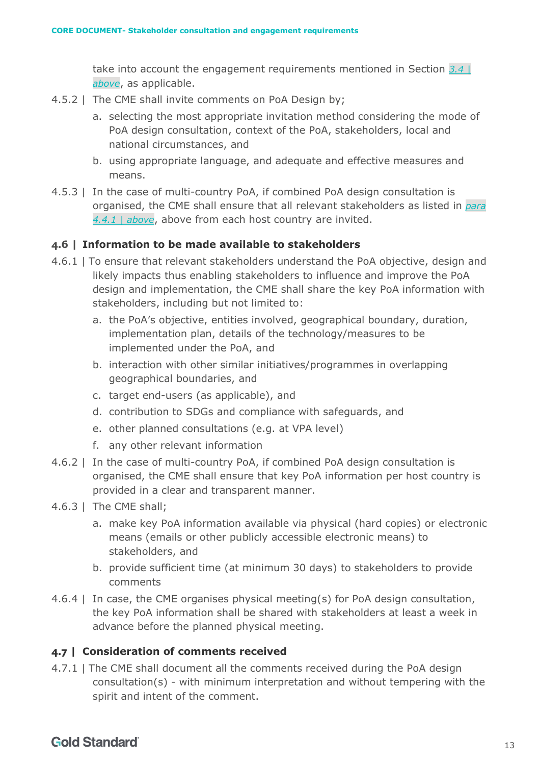take into account the engagement requirements mentioned in Section *[3.4 |](#page-6-0)  [above](#page-6-0)*, as applicable.

- 4.5.2 | The CME shall invite comments on PoA Design by;
	- a. selecting the most appropriate invitation method considering the mode of PoA design consultation, context of the PoA, stakeholders, local and national circumstances, and
	- b. using appropriate language, and adequate and effective measures and means.
- 4.5.3 | In the case of multi-country PoA, if combined PoA design consultation is organised, the CME shall ensure that all relevant stakeholders as listed in *para [4.4.1 | above](#page-11-3)*, above from each host country are invited.

#### <span id="page-12-0"></span>**4.6 | Information to be made available to stakeholders**

- 4.6.1 | To ensure that relevant stakeholders understand the PoA objective, design and likely impacts thus enabling stakeholders to influence and improve the PoA design and implementation, the CME shall share the key PoA information with stakeholders, including but not limited to:
	- a. the PoA's objective, entities involved, geographical boundary, duration, implementation plan, details of the technology/measures to be implemented under the PoA, and
	- b. interaction with other similar initiatives/programmes in overlapping geographical boundaries, and
	- c. target end-users (as applicable), and
	- d. contribution to SDGs and compliance with safeguards, and
	- e. other planned consultations (e.g. at VPA level)
	- f. any other relevant information
- 4.6.2 | In the case of multi-country PoA, if combined PoA design consultation is organised, the CME shall ensure that key PoA information per host country is provided in a clear and transparent manner.
- 4.6.3 | The CME shall;
	- a. make key PoA information available via physical (hard copies) or electronic means (emails or other publicly accessible electronic means) to stakeholders, and
	- b. provide sufficient time (at minimum 30 days) to stakeholders to provide comments
- 4.6.4 | In case, the CME organises physical meeting(s) for PoA design consultation, the key PoA information shall be shared with stakeholders at least a week in advance before the planned physical meeting.

#### <span id="page-12-1"></span>**4.7 | Consideration of comments received**

4.7.1 | The CME shall document all the comments received during the PoA design consultation(s) - with minimum interpretation and without tempering with the spirit and intent of the comment.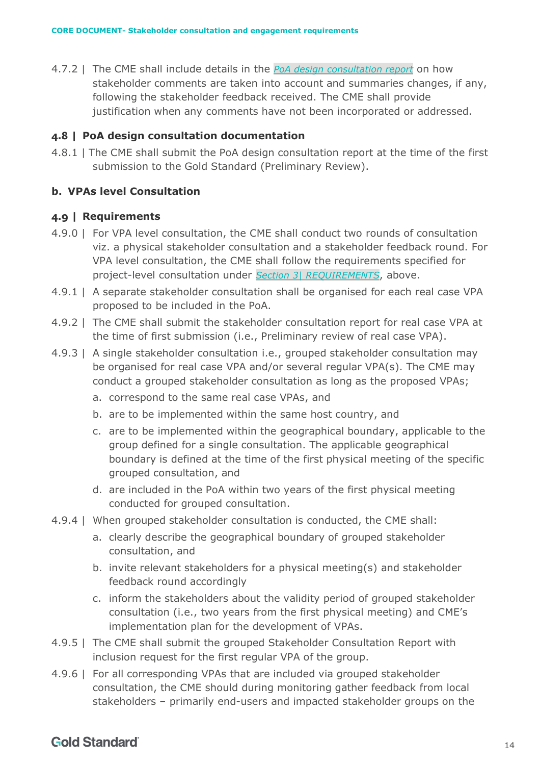4.7.2 | The CME shall include details in the *[PoA design consultation report](https://globalgoals.goldstandard.org/t-prereview-design-consultation-report/)* on how stakeholder comments are taken into account and summaries changes, if any, following the stakeholder feedback received. The CME shall provide justification when any comments have not been incorporated or addressed.

#### <span id="page-13-0"></span>**4.8 | PoA design consultation documentation**

4.8.1 | The CME shall submit the PoA design consultation report at the time of the first submission to the Gold Standard (Preliminary Review).

#### <span id="page-13-1"></span>**b. VPAs level Consultation**

#### <span id="page-13-2"></span>**4.9 | Requirements**

- 4.9.0 | For VPA level consultation, the CME shall conduct two rounds of consultation viz. a physical stakeholder consultation and a stakeholder feedback round. For VPA level consultation, the CME shall follow the requirements specified for project-level consultation under *Section 3| [REQUIREMENTS](#page-4-0)*, above.
- 4.9.1 | A separate stakeholder consultation shall be organised for each real case VPA proposed to be included in the PoA.
- 4.9.2 | The CME shall submit the stakeholder consultation report for real case VPA at the time of first submission (i.e., Preliminary review of real case VPA).
- 4.9.3 | A single stakeholder consultation i.e., grouped stakeholder consultation may be organised for real case VPA and/or several regular VPA(s). The CME may conduct a grouped stakeholder consultation as long as the proposed VPAs;
	- a. correspond to the same real case VPAs, and
	- b. are to be implemented within the same host country, and
	- c. are to be implemented within the geographical boundary, applicable to the group defined for a single consultation. The applicable geographical boundary is defined at the time of the first physical meeting of the specific grouped consultation, and
	- d. are included in the PoA within two years of the first physical meeting conducted for grouped consultation.
- 4.9.4 | When grouped stakeholder consultation is conducted, the CME shall:
	- a. clearly describe the geographical boundary of grouped stakeholder consultation, and
	- b. invite relevant stakeholders for a physical meeting(s) and stakeholder feedback round accordingly
	- c. inform the stakeholders about the validity period of grouped stakeholder consultation (i.e., two years from the first physical meeting) and CME's implementation plan for the development of VPAs.
- 4.9.5 | The CME shall submit the grouped Stakeholder Consultation Report with inclusion request for the first regular VPA of the group.
- 4.9.6 | For all corresponding VPAs that are included via grouped stakeholder consultation, the CME should during monitoring gather feedback from local stakeholders – primarily end-users and impacted stakeholder groups on the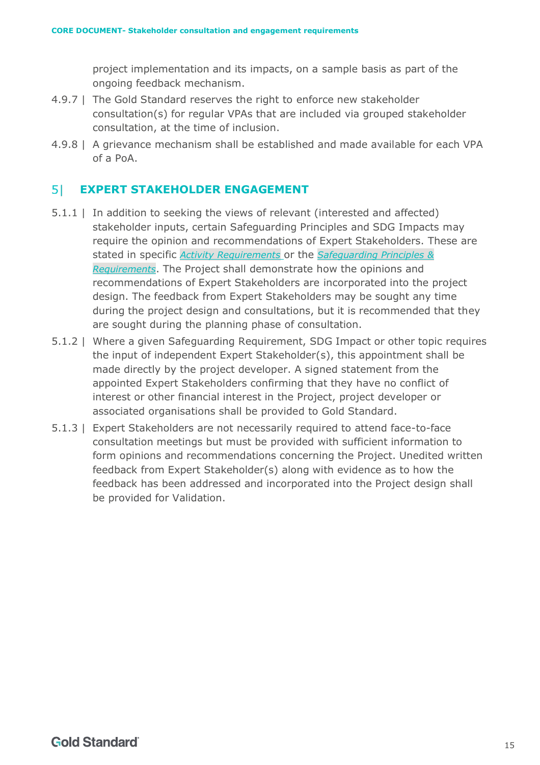project implementation and its impacts, on a sample basis as part of the ongoing feedback mechanism.

- 4.9.7 | The Gold Standard reserves the right to enforce new stakeholder consultation(s) for regular VPAs that are included via grouped stakeholder consultation, at the time of inclusion.
- 4.9.8 | A grievance mechanism shall be established and made available for each VPA of a PoA.

#### <span id="page-14-0"></span> $51$ **EXPERT STAKEHOLDER ENGAGEMENT**

- 5.1.1 | In addition to seeking the views of relevant (interested and affected) stakeholder inputs, certain Safeguarding Principles and SDG Impacts may require the opinion and recommendations of Expert Stakeholders. These are stated in specific *[Activity Requirements](https://www.goldstandard.org/project-developers/standard-documents)* or the *[Safeguarding Principles &](https://globalgoals.goldstandard.org/standards/103_V1.2_PAR_Safeguarding-Principles-Requirements.pdf)  [Requirements](https://globalgoals.goldstandard.org/standards/103_V1.2_PAR_Safeguarding-Principles-Requirements.pdf)*. The Project shall demonstrate how the opinions and recommendations of Expert Stakeholders are incorporated into the project design. The feedback from Expert Stakeholders may be sought any time during the project design and consultations, but it is recommended that they are sought during the planning phase of consultation.
- 5.1.2 | Where a given Safeguarding Requirement, SDG Impact or other topic requires the input of independent Expert Stakeholder(s), this appointment shall be made directly by the project developer. A signed statement from the appointed Expert Stakeholders confirming that they have no conflict of interest or other financial interest in the Project, project developer or associated organisations shall be provided to Gold Standard.
- 5.1.3 | Expert Stakeholders are not necessarily required to attend face-to-face consultation meetings but must be provided with sufficient information to form opinions and recommendations concerning the Project. Unedited written feedback from Expert Stakeholder(s) along with evidence as to how the feedback has been addressed and incorporated into the Project design shall be provided for Validation.